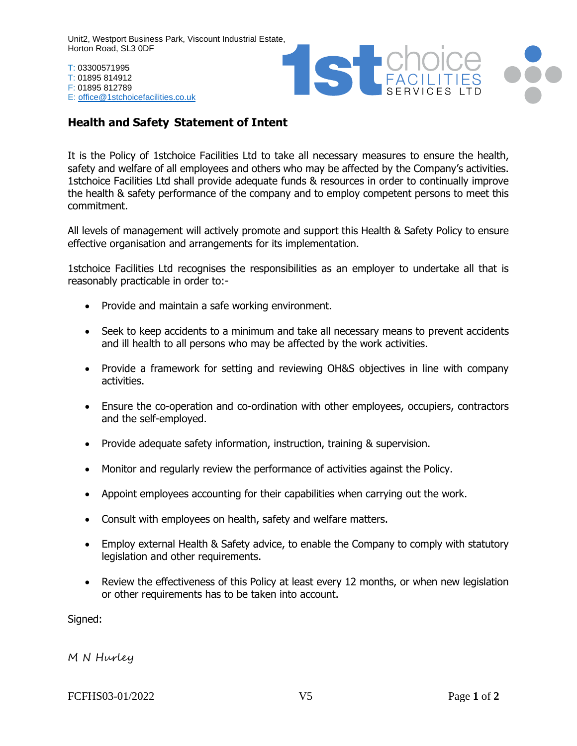Unit2, Westport Business Park, Viscount Industrial Estate, Horton Road, SL3 0DF

T: 03300571995 T: 01895 814912 F: 01895 812789 E: [office@1stchoicefacilities.co.uk](mailto:office@1stchoicefacilities.co.uk)



## **Health and Safety Statement of Intent**

It is the Policy of 1stchoice Facilities Ltd to take all necessary measures to ensure the health, safety and welfare of all employees and others who may be affected by the Company's activities. 1stchoice Facilities Ltd shall provide adequate funds & resources in order to continually improve the health & safety performance of the company and to employ competent persons to meet this commitment.

All levels of management will actively promote and support this Health & Safety Policy to ensure effective organisation and arrangements for its implementation.

1stchoice Facilities Ltd recognises the responsibilities as an employer to undertake all that is reasonably practicable in order to:-

- Provide and maintain a safe working environment.
- Seek to keep accidents to a minimum and take all necessary means to prevent accidents and ill health to all persons who may be affected by the work activities.
- Provide a framework for setting and reviewing OH&S objectives in line with company activities.
- Ensure the co-operation and co-ordination with other employees, occupiers, contractors and the self-employed.
- Provide adequate safety information, instruction, training & supervision.
- Monitor and regularly review the performance of activities against the Policy.
- Appoint employees accounting for their capabilities when carrying out the work.
- Consult with employees on health, safety and welfare matters.
- Employ external Health & Safety advice, to enable the Company to comply with statutory legislation and other requirements.
- Review the effectiveness of this Policy at least every 12 months, or when new legislation or other requirements has to be taken into account.

Signed:

M N Hurley

FCFHS03-01/2022 V5 Page **1** of **2**